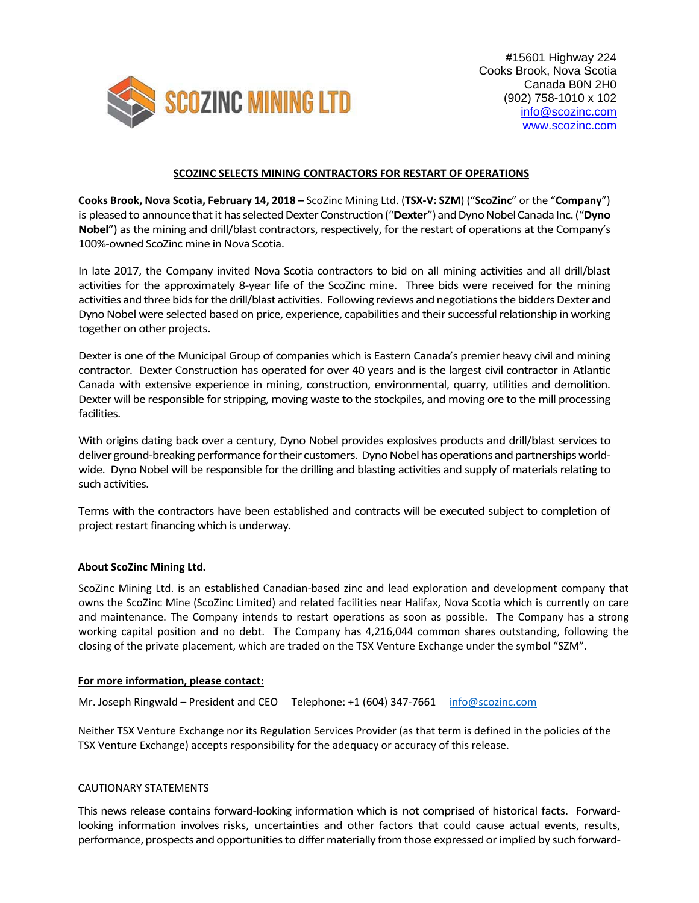

## **SCOZINC SELECTS MINING CONTRACTORS FOR RESTART OF OPERATIONS**

**Cooks Brook, Nova Scotia, February 14, 2018 –** ScoZinc Mining Ltd. (**TSX‐V: SZM**) ("**ScoZinc**" or the "**Company**") is pleased to announce that it has selected Dexter Construction ("Dexter") and Dyno Nobel Canada Inc. ("Dyno **Nobel**") asthe mining and drill/blast contractors, respectively, for the restart of operations at the Company's 100%‐owned ScoZinc mine in Nova Scotia.

In late 2017, the Company invited Nova Scotia contractors to bid on all mining activities and all drill/blast activities for the approximately 8‐year life of the ScoZinc mine. Three bids were received for the mining activities and three bids for the drill/blast activities. Following reviews and negotiations the bidders Dexter and Dyno Nobel were selected based on price, experience, capabilities and their successful relationship in working together on other projects.

Dexter is one of the Municipal Group of companies which is Eastern Canada's premier heavy civil and mining contractor. Dexter Construction has operated for over 40 years and is the largest civil contractor in Atlantic Canada with extensive experience in mining, construction, environmental, quarry, utilities and demolition. Dexter will be responsible for stripping, moving waste to the stockpiles, and moving ore to the mill processing facilities.

With origins dating back over a century, Dyno Nobel provides explosives products and drill/blast services to deliver ground-breaking performance for their customers. Dyno Nobel has operations and partnerships worldwide. Dyno Nobel will be responsible for the drilling and blasting activities and supply of materials relating to such activities.

Terms with the contractors have been established and contracts will be executed subject to completion of project restart financing which is underway.

## **About ScoZinc Mining Ltd.**

ScoZinc Mining Ltd. is an established Canadian‐based zinc and lead exploration and development company that owns the ScoZinc Mine (ScoZinc Limited) and related facilities near Halifax, Nova Scotia which is currently on care and maintenance. The Company intends to restart operations as soon as possible. The Company has a strong working capital position and no debt. The Company has 4,216,044 common shares outstanding, following the closing of the private placement, which are traded on the TSX Venture Exchange under the symbol "SZM".

## **For more information, please contact:**

Mr. Joseph Ringwald – President and CEO Telephone: +1 (604) 347-7661 info@scozinc.com

Neither TSX Venture Exchange nor its Regulation Services Provider (as that term is defined in the policies of the TSX Venture Exchange) accepts responsibility for the adequacy or accuracy of this release.

## CAUTIONARY STATEMENTS

This news release contains forward‐looking information which is not comprised of historical facts. Forward‐ looking information involves risks, uncertainties and other factors that could cause actual events, results, performance, prospects and opportunities to differ materially from those expressed or implied by such forward